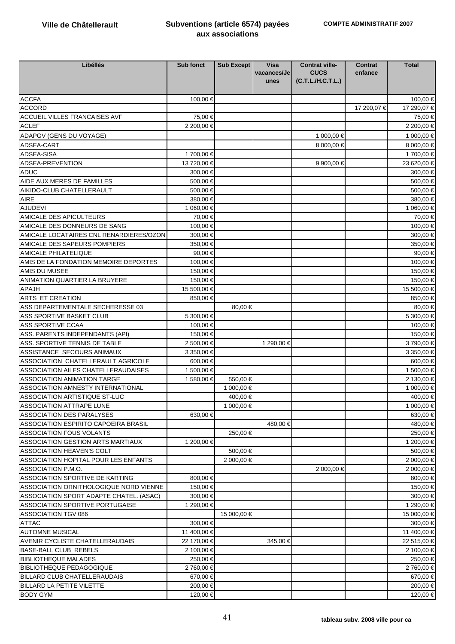| Libéllés                                | <b>Sub fonct</b> | Sub Except  | <b>Visa</b> | <b>Contrat ville-</b> | <b>Contrat</b> | <b>Total</b> |
|-----------------------------------------|------------------|-------------|-------------|-----------------------|----------------|--------------|
|                                         |                  |             | vacances/Je | <b>CUCS</b>           | enfance        |              |
|                                         |                  |             | unes        | (C.T.L.H.C.T.L.)      |                |              |
|                                         |                  |             |             |                       |                |              |
| <b>ACCFA</b>                            | 100,00 €         |             |             |                       |                | 100,00 €     |
| <b>ACCORD</b>                           |                  |             |             |                       | 17 290,07 €    | 17 290,07 €  |
| <b>ACCUEIL VILLES FRANCAISES AVF</b>    | 75,00 €          |             |             |                       |                | 75,00 €      |
| <b>ACLEF</b>                            | 2 200,00 €       |             |             |                       |                | 2 200,00 €   |
| ADAPGV (GENS DU VOYAGE)                 |                  |             |             | 1 000,00 €            |                | 1 000,00 €   |
| ADSEA-CART                              |                  |             |             | 8 000,00 €            |                | 8 000,00 €   |
| ADSEA-SISA                              | 1700.00€         |             |             |                       |                | 1700,00 €    |
| ADSEA-PREVENTION                        | 13 720,00 €      |             |             | 9 900,00 €            |                | 23 620,00 €  |
| <b>ADUC</b>                             | 300,00 €         |             |             |                       |                | 300,00 €     |
| AIDE AUX MERES DE FAMILLES              | 500,00 €         |             |             |                       |                | 500,00 €     |
| AIKIDO-CLUB CHATELLERAULT               | 500,00 €         |             |             |                       |                | 500,00 €     |
| <b>AIRE</b>                             | 380,00 €         |             |             |                       |                | 380,00 €     |
| <b>AJUDEVI</b>                          | 1 060,00 €       |             |             |                       |                | 1 060,00 €   |
| AMICALE DES APICULTEURS                 | 70,00 €          |             |             |                       |                | 70,00 €      |
| AMICALE DES DONNEURS DE SANG            | 100,00 €         |             |             |                       |                | 100,00 €     |
| AMICALE LOCATAIRES CNL RENARDIERES/OZON | 300,00 €         |             |             |                       |                | 300,00 €     |
| AMICALE DES SAPEURS POMPIERS            | 350,00 €         |             |             |                       |                | 350,00€      |
| <b>AMICALE PHILATELIQUE</b>             | 90,00€           |             |             |                       |                | 90,00 $\in$  |
| AMIS DE LA FONDATION MEMOIRE DEPORTES   | 100,00 €         |             |             |                       |                | 100,00 €     |
| AMIS DU MUSEE                           | 150,00€          |             |             |                       |                | 150,00 €     |
| ANIMATION QUARTIER LA BRUYERE           | 150,00€          |             |             |                       |                | 150,00 €     |
| <b>APAJH</b>                            | 15 500,00 €      |             |             |                       |                | 15 500,00 €  |
| ARTS ET CREATION                        | 850,00€          |             |             |                       |                | 850,00 €     |
| ASS DEPARTEMENTALE SECHERESSE 03        |                  | 80,00 €     |             |                       |                | 80,00 €      |
| ASS SPORTIVE BASKET CLUB                | 5 300,00 €       |             |             |                       |                | 5 300,00 €   |
| <b>ASS SPORTIVE CCAA</b>                | 100,00 €         |             |             |                       |                | 100,00 €     |
| ASS. PARENTS INDEPENDANTS (API)         | 150,00 €         |             |             |                       |                | 150,00 €     |
| ASS. SPORTIVE TENNIS DE TABLE           | 2 500,00 €       |             | 1 290,00 €  |                       |                | 3790,00€     |
| ASSISTANCE SECOURS ANIMAUX              | 3 350,00 €       |             |             |                       |                | 3 350,00 €   |
| ASSOCIATION CHATELLERAULT AGRICOLE      | 600,00 €         |             |             |                       |                | 600,00 €     |
| ASSOCIATION AILES CHATELLERAUDAISES     | 1 500,00 €       |             |             |                       |                | 1 500,00 €   |
| <b>ASSOCIATION ANIMATION TARGE</b>      | 1 580,00 €       | 550,00 €    |             |                       |                | 2 130,00 €   |
| ASSOCIATION AMNESTY INTERNATIONAL       |                  | 1 000,00 €  |             |                       |                | 1 000,00 €   |
| <b>ASSOCIATION ARTISTIQUE ST-LUC</b>    |                  | 400,00 €    |             |                       |                | 400,00 €     |
| <b>ASSOCIATION ATTRAPE LUNE</b>         |                  | 1 000,00 €  |             |                       |                | 1 000,00 €   |
| <b>ASSOCIATION DES PARALYSES</b>        | 630,00 €         |             |             |                       |                | 630,00 €     |
| ASSOCIATION ESPIRITO CAPOEIRA BRASIL    |                  |             | 480,00 €    |                       |                | 480,00 €     |
| <b>ASSOCIATION FOUS VOLANTS</b>         |                  | 250,00 €    |             |                       |                | 250,00 €     |
| ASSOCIATION GESTION ARTS MARTIAUX       | 1 200,00 €       |             |             |                       |                | 1 200,00 €   |
| ASSOCIATION HEAVEN'S COLT               |                  | 500,00 €    |             |                       |                | 500,00 €     |
| ASSOCIATION HOPITAL POUR LES ENFANTS    |                  | 2 000,00 €  |             |                       |                | 2 000,00 €   |
| ASSOCIATION P.M.O.                      |                  |             |             | 2 000,00 €            |                | 2 000,00 €   |
| ASSOCIATION SPORTIVE DE KARTING         | 800,00€          |             |             |                       |                | 800,00 €     |
| ASSOCIATION ORNITHOLOGIQUE NORD VIENNE  | 150,00 €         |             |             |                       |                | 150,00 €     |
| ASSOCIATION SPORT ADAPTE CHATEL. (ASAC) | 300,00€          |             |             |                       |                | 300,00 €     |
| ASSOCIATION SPORTIVE PORTUGAISE         | 1 290,00 €       |             |             |                       |                | 1 290,00 €   |
| ASSOCIATION TGV 086                     |                  | 15 000,00 € |             |                       |                | 15 000,00 €  |
| <b>ATTAC</b>                            | 300,00 €         |             |             |                       |                | 300,00 €     |
| <b>AUTOMNE MUSICAL</b>                  | 11 400,00 €      |             |             |                       |                | 11 400,00 €  |
| AVENIR CYCLISTE CHATELLERAUDAIS         | 22 170,00 €      |             | 345,00 €    |                       |                | 22 515,00 €  |
| BASE-BALL CLUB REBELS                   | 2 100,00 €       |             |             |                       |                | 2 100,00 €   |
| <b>BIBLIOTHEQUE MALADES</b>             | 250,00 €         |             |             |                       |                | 250,00 €     |
| <b>BIBLIOTHEQUE PEDAGOGIQUE</b>         | 2 760,00 €       |             |             |                       |                | 2 760,00 €   |
| <b>BILLARD CLUB CHATELLERAUDAIS</b>     | 670,00 €         |             |             |                       |                | 670,00 €     |
| BILLARD LA PETITE VILETTE               | 200,00 €         |             |             |                       |                | 200,00 €     |
| <b>BODY GYM</b>                         | 120,00 €         |             |             |                       |                | 120,00 €     |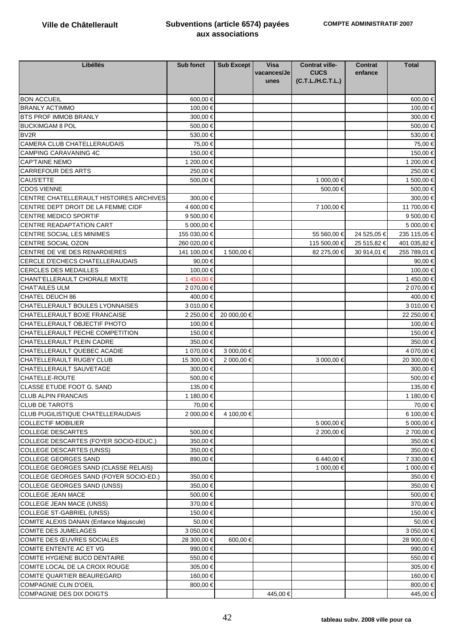| Libéllés                                 | <b>Sub fonct</b> | Sub Except  | <b>Visa</b><br>vacances/Je | <b>Contrat ville-</b><br><b>CUCS</b> | <b>Contrat</b><br>enfance | <b>Total</b> |
|------------------------------------------|------------------|-------------|----------------------------|--------------------------------------|---------------------------|--------------|
|                                          |                  |             | unes                       | (C.T.L./H.C.T.L.)                    |                           |              |
| <b>BON ACCUEIL</b>                       | 600,00 €         |             |                            |                                      |                           | 600,00 €     |
| <b>BRANLY ACTIMMO</b>                    | 100,00 €         |             |                            |                                      |                           | 100,00 €     |
| <b>BTS PROF IMMOB BRANLY</b>             | 300,00 €         |             |                            |                                      |                           | 300,00 €     |
| <b>BUCKIMGAM 8 POL</b>                   | 500,00€          |             |                            |                                      |                           | 500,00 €     |
| BV <sub>2R</sub>                         | 530,00€          |             |                            |                                      |                           | 530,00 €     |
| CAMERA CLUB CHATELLERAUDAIS              | 75,00 €          |             |                            |                                      |                           | 75,00 €      |
| <b>CAMPING CARAVANING 4C</b>             | 150,00€          |             |                            |                                      |                           | 150,00 €     |
| <b>CAP'TAINE NEMO</b>                    | 1 200,00 €       |             |                            |                                      |                           | 1 200.00 €   |
| <b>CARREFOUR DES ARTS</b>                | 250,00 €         |             |                            |                                      |                           | 250,00 €     |
| <b>CAUS'ETTE</b>                         | 500,00€          |             |                            | 1 000,00 €                           |                           | 1 500,00 €   |
| <b>CDOS VIENNE</b>                       |                  |             |                            | 500,00€                              |                           | 500,00€      |
| CENTRE CHATELLERAULT HISTOIRES ARCHIVES  | 300,00 €         |             |                            |                                      |                           | 300,00 €     |
| CENTRE DEPT DROIT DE LA FEMME CIDF       | 4 600,00 €       |             |                            | 7 100,00 €                           |                           | 11 700,00 €  |
| CENTRE MEDICO SPORTIF                    | 9 500,00 €       |             |                            |                                      |                           | 9 500,00 €   |
| CENTRE READAPTATION CART                 | 5 000,00 €       |             |                            |                                      |                           | 5 000,00 €   |
| CENTRE SOCIAL LES MINIMES                | 155 030,00 €     |             |                            | 55 560,00 €                          | 24 525,05 €               | 235 115,05 € |
| CENTRE SOCIAL OZON                       | 260 020,00 €     |             |                            | 115 500,00 €                         | 25 515,82 €               | 401 035,82 € |
| CENTRE DE VIE DES RENARDIERES            | 141 100,00 €     | 1 500,00 €  |                            | 82 275,00 €                          | 30 914.01 €               | 255 789,01   |
| CERCLE D'ECHECS CHATELLERAUDAIS          | 90,00€           |             |                            |                                      |                           | 90,00 $\in$  |
| <b>CERCLES DES MEDAILLES</b>             | 100,00 €         |             |                            |                                      |                           | 100,00 €     |
| CHANT'ELLERAULT CHORALE MIXTE            | 1450,00€         |             |                            |                                      |                           | 1450,00 €    |
| <b>CHAT'AILES ULM</b>                    | 2 070,00 €       |             |                            |                                      |                           | 2 070,00 €   |
| CHATEL DEUCH 86                          | 400,00€          |             |                            |                                      |                           | 400,00 €     |
| CHATELLERAULT BOULES LYONNAISES          | 3 010,00 €       |             |                            |                                      |                           | 3 010,00 €   |
| CHATELLERAULT BOXE FRANCAISE             | 2 250,00 €       | 20 000,00 € |                            |                                      |                           | 22 250,00 €  |
| CHATELLERAULT OBJECTIF PHOTO             | 100,00 €         |             |                            |                                      |                           | 100,00 €     |
| CHATELLERAULT PECHE COMPETITION          | 150,00 €         |             |                            |                                      |                           | 150,00 €     |
| CHATELLERAULT PLEIN CADRE                | 350,00 €         |             |                            |                                      |                           | 350,00 €     |
| CHATELLERAULT QUEBEC ACADIE              | 1 070,00 €       | 3 000,00 €  |                            |                                      |                           | 4 070,00 €   |
| CHATELLERAULT RUGBY CLUB                 | 15 300,00 €      | 2 000,00 €  |                            | 3 00000 €                            |                           | 20 300,00 €  |
| CHATELLERAULT SAUVETAGE                  | 300,00 €         |             |                            |                                      |                           | 300,00 €     |
| CHATELLE-ROUTE                           | 500,00€          |             |                            |                                      |                           | 500,00 €     |
| CLASSE ETUDE FOOT G. SAND                | 135,00 €         |             |                            |                                      |                           | 135,00 €     |
| <b>CLUB ALPIN FRANCAIS</b>               | 1 180,00 €       |             |                            |                                      |                           | 1 180,00 €   |
| <b>CLUB DE TAROTS</b>                    | 70,00 €          |             |                            |                                      |                           | 70,00 €      |
| <b>CLUB PUGILISTIQUE CHATELLERAUDAIS</b> | 2 000,00 €       | 4 100.00€   |                            |                                      |                           | 6 100,00 €   |
| <b>COLLECTIF MOBILIER</b>                |                  |             |                            | 5 000,00 €                           |                           | 5 000,00 €   |
| <b>COLLEGE DESCARTES</b>                 | 500,00€          |             |                            | 2 200,00 €                           |                           | 2 700,00 €   |
| COLLEGE DESCARTES (FOYER SOCIO-EDUC.)    | 350,00 €         |             |                            |                                      |                           | 350,00 €     |
| <b>COLLEGE DESCARTES (UNSS)</b>          | 350,00€          |             |                            |                                      |                           | 350,00 €     |
| <b>COLLEGE GEORGES SAND</b>              | 890,00 €         |             |                            | 6440,00€                             |                           | 7 330,00 €   |
| COLLEGE GEORGES SAND (CLASSE RELAIS)     |                  |             |                            | 1 000,00 €                           |                           | 1 000,00 €   |
| COLLEGE GEORGES SAND (FOYER SOCIO-ED.)   | 350,00 €         |             |                            |                                      |                           | 350,00 €     |
| <b>COLLEGE GEORGES SAND (UNSS)</b>       | 350,00 €         |             |                            |                                      |                           | 350,00 €     |
| <b>COLLEGE JEAN MACE</b>                 | 500,00€          |             |                            |                                      |                           | 500,00 €     |
| <b>COLLEGE JEAN MACE (UNSS)</b>          | 370,00€          |             |                            |                                      |                           | 370,00 €     |
| <b>COLLEGE ST-GABRIEL (UNSS)</b>         | 150,00 €         |             |                            |                                      |                           | 150,00 €     |
| COMITE ALEXIS DANAN (Enfance Majuscule)  | 50,00€           |             |                            |                                      |                           | 50,00 €      |
| <b>COMITE DES JUMELAGES</b>              | 3 050,00 €       |             |                            |                                      |                           | 3 050,00 €   |
| COMITE DES ŒUVRES SOCIALES               | 28 300,00 €      | 600,00 €    |                            |                                      |                           | 28 900,00 €  |
| COMITE ENTENTE AC ET VG                  | 990,00 €         |             |                            |                                      |                           | 990,00 €     |
| COMITE HYGIENE BUCO DENTAIRE             | 550,00 €         |             |                            |                                      |                           | 550,00 €     |
| COMITE LOCAL DE LA CROIX ROUGE           | 305,00 €         |             |                            |                                      |                           | 305,00 €     |
| COMITE QUARTIER BEAUREGARD               | 160,00 €         |             |                            |                                      |                           | 160,00 €     |
| <b>COMPAGNIE CLIN D'OEIL</b>             | 800,00 €         |             |                            |                                      |                           | 800,00 €     |
| COMPAGNIE DES DIX DOIGTS                 |                  |             | 445,00 €                   |                                      |                           | 445,00 €     |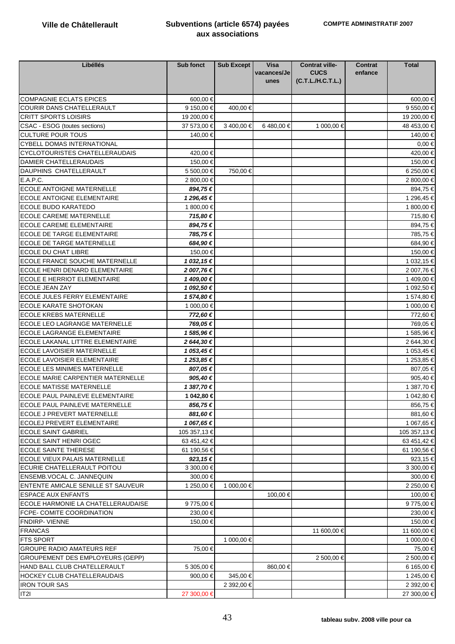| Libéllés                                  | Sub fonct     | Sub Except | <b>Visa</b> | <b>Contrat ville-</b> | <b>Contrat</b> | <b>Total</b> |
|-------------------------------------------|---------------|------------|-------------|-----------------------|----------------|--------------|
|                                           |               |            | vacances/Je | <b>CUCS</b>           | enfance        |              |
|                                           |               |            | unes        | (C.T.L./H.C.T.L.)     |                |              |
|                                           |               |            |             |                       |                |              |
| <b>COMPAGNIE ECLATS EPICES</b>            | 600,00€       |            |             |                       |                | 600,00 €     |
| <b>COURIR DANS CHATELLERAULT</b>          | 9 150,00 €    | 400,00 €   |             |                       |                | 9 550,00 €   |
| <b>CRITT SPORTS LOISIRS</b>               | 19 200,00 €   |            |             |                       |                | 19 200,00 €  |
| CSAC - ESOG (toutes sections)             | 37 573,00 €   | 3400,00€   | 6480,00 €   | 1 000,00 €            |                | 48 453,00 €  |
| <b>CULTURE POUR TOUS</b>                  | 140,00 €      |            |             |                       |                | 140,00 €     |
| <b>CYBELL DOMAS INTERNATIONAL</b>         |               |            |             |                       |                | $0.00 \in$   |
| CYCLOTOURISTES CHATELLERAUDAIS            | 420,00 €      |            |             |                       |                | 420,00 €     |
| <b>DAMIER CHATELLERAUDAIS</b>             | 150,00 €      |            |             |                       |                | 150,00 €     |
| <b>DAUPHINS CHATELLERAULT</b>             | 5 500,00 €    | 750,00 €   |             |                       |                | 6 250,00 €   |
| E.A.P.C.                                  | 2 800,00 €    |            |             |                       |                | 2 800,00 €   |
| <b>ECOLE ANTOIGNE MATERNELLE</b>          | 894,75€       |            |             |                       |                | 894,75€      |
| <b>ECOLE ANTOIGNE ELEMENTAIRE</b>         | 1 296,45 €    |            |             |                       |                | 1 296,45 €   |
| <b>ECOLE BUDO KARATEDO</b>                | 1 800,00 €    |            |             |                       |                | 1 800,00 €   |
| <b>ECOLE CAREME MATERNELLE</b>            | 715,80€       |            |             |                       |                | 715,80 €     |
| <b>ECOLE CAREME ELEMENTAIRE</b>           | 894,75€       |            |             |                       |                | 894,75 €     |
| <b>ECOLE DE TARGE ELEMENTAIRE</b>         | 785,75€       |            |             |                       |                | 785,75 €     |
| <b>ECOLE DE TARGE MATERNELLE</b>          | 684,90€       |            |             |                       |                | 684,90€      |
| <b>ECOLE DU CHAT LIBRE</b>                | 150,00 €      |            |             |                       |                | 150,00 €     |
| <b>ECOLE FRANCE SOUCHE MATERNELLE</b>     | 1 032,15 €    |            |             |                       |                | 1 032,15 €   |
| ECOLE HENRI DENARD ELEMENTAIRE            | 2 007,76€     |            |             |                       |                | 2 007,76 €   |
| ECOLE E HERRIOT ELEMENTAIRE               | 1409,00€      |            |             |                       |                | 1409,00€     |
| <b>ECOLE JEAN ZAY</b>                     | 1 092,50 €    |            |             |                       |                | 1 092,50 €   |
| ECOLE JULES FERRY ELEMENTAIRE             | 1 574,80 €    |            |             |                       |                | 1 574,80 €   |
| <b>ECOLE KARATE SHOTOKAN</b>              | 1 000,00 €    |            |             |                       |                | 1 000,00 €   |
| <b>ECOLE KREBS MATERNELLE</b>             | 772,60€       |            |             |                       |                | 772,60 €     |
| ECOLE LEO LAGRANGE MATERNELLE             | 769,05€       |            |             |                       |                | 769,05 €     |
| <b>ECOLE LAGRANGE ELEMENTAIRE</b>         | 1 585,96 €    |            |             |                       |                | 1 585,96 €   |
| <b>ECOLE LAKANAL LITTRE ELEMENTAIRE</b>   | 2 644,30 €    |            |             |                       |                | 2 644,30 €   |
| <b>ECOLE LAVOISIER MATERNELLE</b>         | 1 053,45 €    |            |             |                       |                | 1 053,45 €   |
| <b>ECOLE LAVOISIER ELEMENTAIRE</b>        | 1 253,85 €    |            |             |                       |                | 1 253,85 €   |
| ECOLE LES MINIMES MATERNELLE              | 807,05€       |            |             |                       |                | 807,05 €     |
| <b>ECOLE MARIE CARPENTIER MATERNELLE</b>  | 905,40€       |            |             |                       |                | 905,40 €     |
| <b>ECOLE MATISSE MATERNELLE</b>           | 1 387,70 €    |            |             |                       |                | 1 387,70 €   |
| ECOLE PAUL PAINLEVE ELEMENTAIRE           | 1 042,80 €    |            |             |                       |                | 1 042,80 €   |
| ECOLE PAUL PAINLEVE MATERNELLE            | 856,75€       |            |             |                       |                | 856,75€      |
| <b>ECOLE J PREVERT MATERNELLE</b>         | 881,60€       |            |             |                       |                | 881,60 €     |
| <b>ECOLEJ PREVERT ELEMENTAIRE</b>         | 1 067,65€     |            |             |                       |                | 1 067,65 €   |
| <b>ECOLE SAINT GABRIEL</b>                | 105 357,13 €  |            |             |                       |                | 105 357,13 € |
| <b>ECOLE SAINT HENRI OGEC</b>             | 63 451,42 €   |            |             |                       |                | 63 451,42 €  |
| <b>ECOLE SAINTE THERESE</b>               | 61 190,56 €   |            |             |                       |                | 61 190,56 €  |
| ECOLE VIEUX PALAIS MATERNELLE             | $923, 15 \in$ |            |             |                       |                | 923,15€      |
| ECURIE CHATELLERAULT POITOU               | 3 300,00 €    |            |             |                       |                | 3 300,00 €   |
| <b>ENSEMB.VOCAL C. JANNEQUIN</b>          | 300,00 €      |            |             |                       |                | 300,00 €     |
| <b>ENTENTE AMICALE SENILLE ST SAUVEUR</b> | 1 250,00 €    | 1 000,00 € |             |                       |                | 2 250,00 €   |
| <b>ESPACE AUX ENFANTS</b>                 |               |            | 100.00 €    |                       |                | 100,00 €     |
| ECOLE HARMONIE LA CHATELLERAUDAISE        | 9775,00€      |            |             |                       |                | 9775,00€     |
| <b>FCPE- COMITE COORDINATION</b>          | 230,00 €      |            |             |                       |                | 230,00 €     |
| FNDIRP-VIENNE                             | 150,00€       |            |             |                       |                | 150,00 €     |
| <b>FRANCAS</b>                            |               |            |             | 11 600,00 €           |                | 11 600,00 €  |
| <b>FTS SPORT</b>                          |               | 1 000,00 € |             |                       |                | 1 000,00 €   |
| <b>GROUPE RADIO AMATEURS REF</b>          | 75,00€        |            |             |                       |                | 75,00 €      |
| GROUPEMENT DES EMPLOYEURS (GEPP)          |               |            |             | 2 500,00 €            |                | 2 500,00 €   |
| HAND BALL CLUB CHATELLERAULT              | 5 305,00 €    |            | 860,00 €    |                       |                | 6 165,00 €   |
| <b>HOCKEY CLUB CHATELLERAUDAIS</b>        | 900,00€       | 345,00 €   |             |                       |                | 1 245,00 €   |
| <b>IRON TOUR SAS</b>                      |               | 2 392,00 € |             |                       |                | 2 392,00 €   |
| IT2I                                      | 27 300,00 €   |            |             |                       |                | 27 300,00 €  |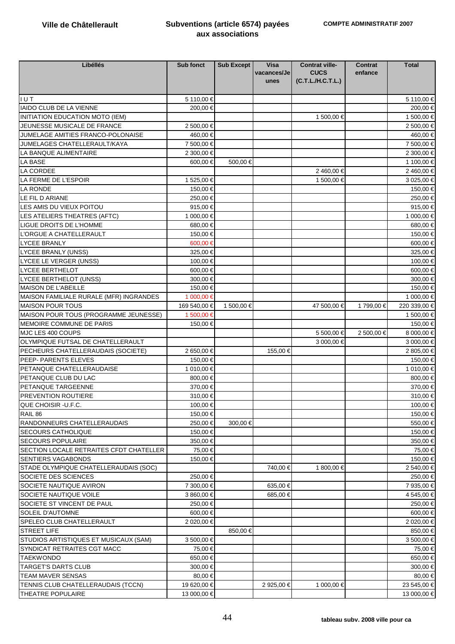| Libéllés                                | Sub fonct    | Sub Except | <b>Visa</b><br>vacances/Je | <b>Contrat ville-</b><br><b>CUCS</b> | <b>Contrat</b><br>enfance | <b>Total</b> |
|-----------------------------------------|--------------|------------|----------------------------|--------------------------------------|---------------------------|--------------|
|                                         |              |            | unes                       | (C.T.L./H.C.T.L.)                    |                           |              |
| I U T                                   | 5 110,00 €   |            |                            |                                      |                           | 5 110,00 €   |
| IAIDO CLUB DE LA VIENNE                 | 200,00 €     |            |                            |                                      |                           | 200,00 €     |
| INITIATION EDUCATION MOTO (IEM)         |              |            |                            | 1 500,00 €                           |                           | 1 500,00 €   |
| JEUNESSE MUSICALE DE FRANCE             | 2 500,00 €   |            |                            |                                      |                           | 2 500,00 €   |
| JUMELAGE AMITIES FRANCO-POLONAISE       | 460,00€      |            |                            |                                      |                           | 460,00 €     |
| JUMELAGES CHATELLERAULT/KAYA            | 7 500,00 €   |            |                            |                                      |                           | 7 500,00 €   |
| LA BANQUE ALIMENTAIRE                   | 2 300,00 €   |            |                            |                                      |                           | 2 300,00 €   |
| LA BASE                                 | 600,00 €     | 500,00 €   |                            |                                      |                           | 1 100,00 €   |
| LA CORDEE                               |              |            |                            | 2460,00€                             |                           | 2460,00€     |
| LA FERME DE L'ESPOIR                    | 1 525,00 €   |            |                            | 1 500,00 €                           |                           | 3 025,00 €   |
| LA RONDE                                | 150,00 €     |            |                            |                                      |                           | 150,00 €     |
| LE FIL D ARIANE                         | 250,00€      |            |                            |                                      |                           | 250,00 €     |
| LES AMIS DU VIEUX POITOU                | 915,00€      |            |                            |                                      |                           | 915,00€      |
| LES ATELIERS THEATRES (AFTC)            | 1 000,00 €   |            |                            |                                      |                           | 1 000,00 €   |
| LIGUE DROITS DE L'HOMME                 | 680,00€      |            |                            |                                      |                           | 680,00 €     |
| L'ORGUE A CHATELLERAULT                 | 150.00€      |            |                            |                                      |                           | 150,00 €     |
| LYCEE BRANLY                            | 600,00€      |            |                            |                                      |                           | 600,00 €     |
| <b>LYCEE BRANLY (UNSS)</b>              | 325,00€      |            |                            |                                      |                           | 325,00 €     |
| LYCEE LE VERGER (UNSS)                  | 100,00€      |            |                            |                                      |                           | 100,00 €     |
| <b>LYCEE BERTHELOT</b>                  | 600,00€      |            |                            |                                      |                           | 600,00 €     |
| <b>LYCEE BERTHELOT (UNSS)</b>           | 300,00€      |            |                            |                                      |                           | 300,00 €     |
| MAISON DE L'ABEILLE                     | 150,00 €     |            |                            |                                      |                           | 150,00 €     |
| MAISON FAMILIALE RURALE (MFR) INGRANDES | 1 000,00 €   |            |                            |                                      |                           | 1 000,00 €   |
| <b>MAISON POUR TOUS</b>                 | 169 540,00 € | 1 500,00 € |                            | 47 500,00 €                          | 1 799,00 €                | 220 33900 €  |
| MAISON POUR TOUS (PROGRAMME JEUNESSE)   | 1 500,00 €   |            |                            |                                      |                           | 1 500,00 €   |
| MEMOIRE COMMUNE DE PARIS                | 150,00 €     |            |                            |                                      |                           | 150,00 €     |
| MJC LES 400 COUPS                       |              |            |                            | 5 500,00 €                           | 2 500,00 €                | 8 000,00 €   |
| OLYMPIQUE FUTSAL DE CHATELLERAULT       |              |            |                            | 3 000,00 €                           |                           | 3 000,00 €   |
| PECHEURS CHATELLERAUDAIS (SOCIETE)      | 2 650,00 €   |            | 155,00€                    |                                      |                           | 2 805,00 €   |
| PEEP- PARENTS ELEVES                    | 150,00 €     |            |                            |                                      |                           | 150,00 €     |
| PETANQUE CHATELLERAUDAISE               | 1 010,00 €   |            |                            |                                      |                           | 1 010,00 €   |
| PETANQUE CLUB DU LAC                    | 800,00 €     |            |                            |                                      |                           | 800,00 €     |
| PETANQUE TARGEENNE                      | 370,00 €     |            |                            |                                      |                           | 370,00 €     |
| PREVENTION ROUTIERE                     | 310,00 €     |            |                            |                                      |                           | 310,00 €     |
| QUE CHOISIR - U.F.C.                    | 100,00€      |            |                            |                                      |                           | 100,00 €     |
| RAIL 86                                 | 150,00 €     |            |                            |                                      |                           | 150,00 €     |
| RANDONNEURS CHATELLERAUDAIS             | 250,00€      | 300,00 €   |                            |                                      |                           | 550,00€      |
| <b>SECOURS CATHOLIQUE</b>               | 150,00€      |            |                            |                                      |                           | 150,00 €     |
| <b>SECOURS POPULAIRE</b>                | 350,00€      |            |                            |                                      |                           | 350.00 €     |
| SECTION LOCALE RETRAITES CFDT CHATELLER | 75,00 €      |            |                            |                                      |                           | 75,00 €      |
| SENTIERS VAGABONDS                      | 150,00 €     |            |                            |                                      |                           | 150,00 €     |
| STADE OLYMPIQUE CHATELLERAUDAIS (SOC)   |              |            | 740,00 €                   | 1 800,00 €                           |                           | 2 540,00 €   |
| SOCIETE DES SCIENCES                    | 250,00€      |            |                            |                                      |                           | 250,00 €     |
| SOCIETE NAUTIQUE AVIRON                 | 7 300,00 €   |            | 635,00€                    |                                      |                           | 7 935,00 €   |
| SOCIETE NAUTIQUE VOILE                  | 3 860.00 €   |            | 685.00€                    |                                      |                           | 4 545,00 €   |
| SOCIETE ST VINCENT DE PAUL              | 250,00€      |            |                            |                                      |                           | 250,00 €     |
| SOLEIL D'AUTOMNE                        | 600,00€      |            |                            |                                      |                           | 600,00 €     |
| SPELEO CLUB CHATELLERAULT               | 2 020,00 €   |            |                            |                                      |                           | 2 020,00 €   |
| <b>STREET LIFE</b>                      |              | 850,00 €   |                            |                                      |                           | 850,00 €     |
| STUDIOS ARTISTIQUES ET MUSICAUX (SAM)   | 3 500,00 €   |            |                            |                                      |                           | 3 500,00 €   |
| SYNDICAT RETRAITES CGT MACC             | 75,00 €      |            |                            |                                      |                           | 75,00 €      |
| <b>TAEKWONDO</b>                        | 650,00 €     |            |                            |                                      |                           | 650,00 €     |
| TARGET'S DARTS CLUB                     | 300,00 €     |            |                            |                                      |                           | 300,00 €     |
| TEAM MAVER SENSAS                       | 80,00 €      |            |                            |                                      |                           | 80,00 €      |
| TENNIS CLUB CHATELLERAUDAIS (TCCN)      | 19 620,00 €  |            | 2 925,00 €                 | 1 000,00 €                           |                           | 23 545,00 €  |
| THEATRE POPULAIRE                       | 13 000,00 €  |            |                            |                                      |                           | 13 000,00 €  |